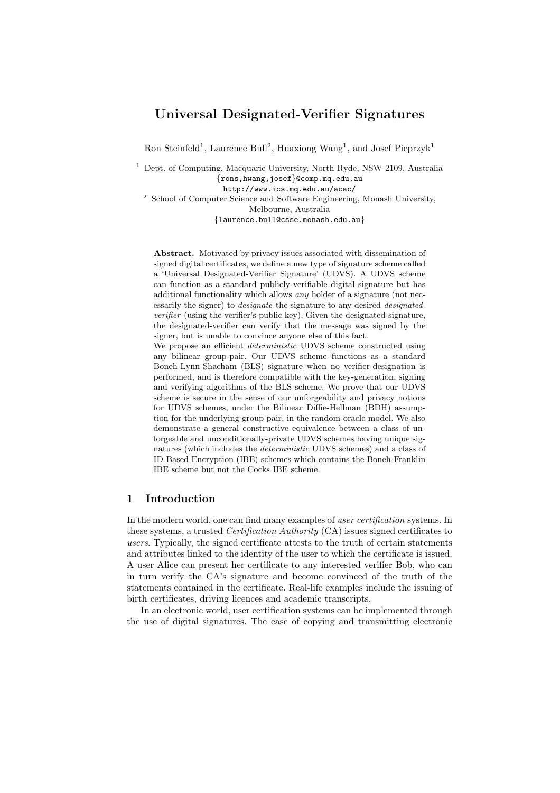# Universal Designated-Verifier Signatures

Ron Steinfeld<sup>1</sup>, Laurence Bull<sup>2</sup>, Huaxiong Wang<sup>1</sup>, and Josef Pieprzyk<sup>1</sup>

<sup>1</sup> Dept. of Computing, Macquarie University, North Ryde, NSW 2109, Australia {rons,hwang,josef}@comp.mq.edu.au http://www.ics.mq.edu.au/acac/ <sup>2</sup> School of Computer Science and Software Engineering, Monash University, Melbourne, Australia

{laurence.bull@csse.monash.edu.au}

Abstract. Motivated by privacy issues associated with dissemination of signed digital certificates, we define a new type of signature scheme called a 'Universal Designated-Verifier Signature' (UDVS). A UDVS scheme can function as a standard publicly-verifiable digital signature but has additional functionality which allows any holder of a signature (not necessarily the signer) to *designate* the signature to any desired *designated*verifier (using the verifier's public key). Given the designated-signature, the designated-verifier can verify that the message was signed by the signer, but is unable to convince anyone else of this fact.

We propose an efficient *deterministic* UDVS scheme constructed using any bilinear group-pair. Our UDVS scheme functions as a standard Boneh-Lynn-Shacham (BLS) signature when no verifier-designation is performed, and is therefore compatible with the key-generation, signing and verifying algorithms of the BLS scheme. We prove that our UDVS scheme is secure in the sense of our unforgeability and privacy notions for UDVS schemes, under the Bilinear Diffie-Hellman (BDH) assumption for the underlying group-pair, in the random-oracle model. We also demonstrate a general constructive equivalence between a class of unforgeable and unconditionally-private UDVS schemes having unique signatures (which includes the deterministic UDVS schemes) and a class of ID-Based Encryption (IBE) schemes which contains the Boneh-Franklin IBE scheme but not the Cocks IBE scheme.

#### 1 Introduction

In the modern world, one can find many examples of *user certification* systems. In these systems, a trusted Certification Authority (CA) issues signed certificates to users. Typically, the signed certificate attests to the truth of certain statements and attributes linked to the identity of the user to which the certificate is issued. A user Alice can present her certificate to any interested verifier Bob, who can in turn verify the CA's signature and become convinced of the truth of the statements contained in the certificate. Real-life examples include the issuing of birth certificates, driving licences and academic transcripts.

In an electronic world, user certification systems can be implemented through the use of digital signatures. The ease of copying and transmitting electronic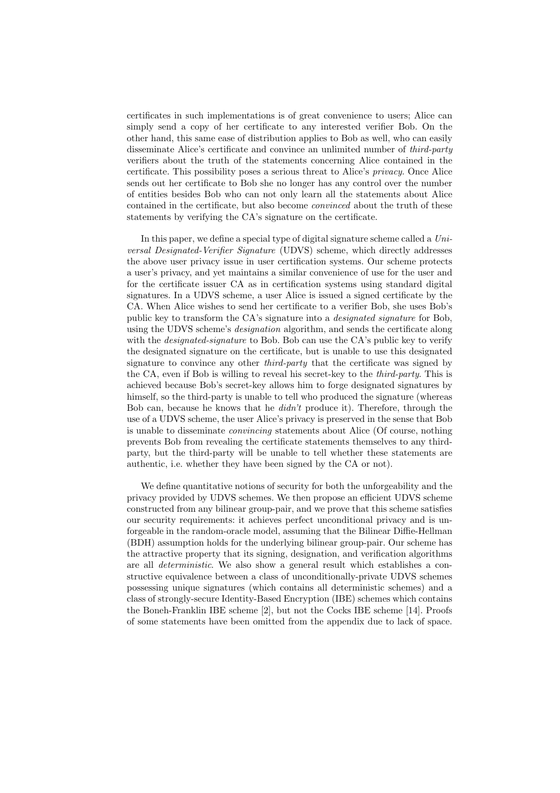certificates in such implementations is of great convenience to users; Alice can simply send a copy of her certificate to any interested verifier Bob. On the other hand, this same ease of distribution applies to Bob as well, who can easily disseminate Alice's certificate and convince an unlimited number of third-party verifiers about the truth of the statements concerning Alice contained in the certificate. This possibility poses a serious threat to Alice's privacy. Once Alice sends out her certificate to Bob she no longer has any control over the number of entities besides Bob who can not only learn all the statements about Alice contained in the certificate, but also become convinced about the truth of these statements by verifying the CA's signature on the certificate.

In this paper, we define a special type of digital signature scheme called a Universal Designated-Verifier Signature (UDVS) scheme, which directly addresses the above user privacy issue in user certification systems. Our scheme protects a user's privacy, and yet maintains a similar convenience of use for the user and for the certificate issuer CA as in certification systems using standard digital signatures. In a UDVS scheme, a user Alice is issued a signed certificate by the CA. When Alice wishes to send her certificate to a verifier Bob, she uses Bob's public key to transform the CA's signature into a designated signature for Bob, using the UDVS scheme's *designation* algorithm, and sends the certificate along with the *designated-signature* to Bob. Bob can use the CA's public key to verify the designated signature on the certificate, but is unable to use this designated signature to convince any other *third-party* that the certificate was signed by the CA, even if Bob is willing to reveal his secret-key to the third-party. This is achieved because Bob's secret-key allows him to forge designated signatures by himself, so the third-party is unable to tell who produced the signature (whereas Bob can, because he knows that he didn't produce it). Therefore, through the use of a UDVS scheme, the user Alice's privacy is preserved in the sense that Bob is unable to disseminate convincing statements about Alice (Of course, nothing prevents Bob from revealing the certificate statements themselves to any thirdparty, but the third-party will be unable to tell whether these statements are authentic, i.e. whether they have been signed by the CA or not).

We define quantitative notions of security for both the unforgeability and the privacy provided by UDVS schemes. We then propose an efficient UDVS scheme constructed from any bilinear group-pair, and we prove that this scheme satisfies our security requirements: it achieves perfect unconditional privacy and is unforgeable in the random-oracle model, assuming that the Bilinear Diffie-Hellman (BDH) assumption holds for the underlying bilinear group-pair. Our scheme has the attractive property that its signing, designation, and verification algorithms are all deterministic. We also show a general result which establishes a constructive equivalence between a class of unconditionally-private UDVS schemes possessing unique signatures (which contains all deterministic schemes) and a class of strongly-secure Identity-Based Encryption (IBE) schemes which contains the Boneh-Franklin IBE scheme [2], but not the Cocks IBE scheme [14]. Proofs of some statements have been omitted from the appendix due to lack of space.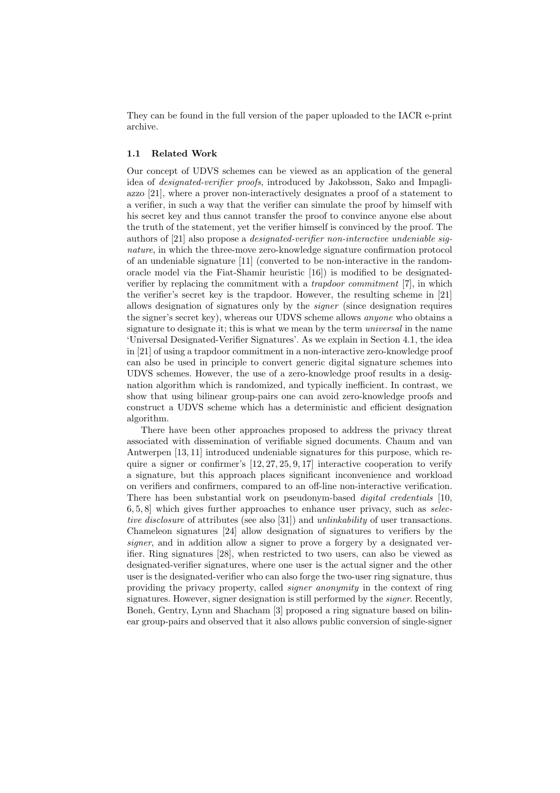They can be found in the full version of the paper uploaded to the IACR e-print archive.

#### 1.1 Related Work

Our concept of UDVS schemes can be viewed as an application of the general idea of designated-verifier proofs, introduced by Jakobsson, Sako and Impagliazzo [21], where a prover non-interactively designates a proof of a statement to a verifier, in such a way that the verifier can simulate the proof by himself with his secret key and thus cannot transfer the proof to convince anyone else about the truth of the statement, yet the verifier himself is convinced by the proof. The authors of [21] also propose a designated-verifier non-interactive undeniable signature, in which the three-move zero-knowledge signature confirmation protocol of an undeniable signature [11] (converted to be non-interactive in the randomoracle model via the Fiat-Shamir heuristic [16]) is modified to be designatedverifier by replacing the commitment with a trapdoor commitment [7], in which the verifier's secret key is the trapdoor. However, the resulting scheme in [21] allows designation of signatures only by the signer (since designation requires the signer's secret key), whereas our UDVS scheme allows anyone who obtains a signature to designate it; this is what we mean by the term *universal* in the name 'Universal Designated-Verifier Signatures'. As we explain in Section 4.1, the idea in [21] of using a trapdoor commitment in a non-interactive zero-knowledge proof can also be used in principle to convert generic digital signature schemes into UDVS schemes. However, the use of a zero-knowledge proof results in a designation algorithm which is randomized, and typically inefficient. In contrast, we show that using bilinear group-pairs one can avoid zero-knowledge proofs and construct a UDVS scheme which has a deterministic and efficient designation algorithm.

There have been other approaches proposed to address the privacy threat associated with dissemination of verifiable signed documents. Chaum and van Antwerpen [13, 11] introduced undeniable signatures for this purpose, which require a signer or confirmer's  $[12, 27, 25, 9, 17]$  interactive cooperation to verify a signature, but this approach places significant inconvenience and workload on verifiers and confirmers, compared to an off-line non-interactive verification. There has been substantial work on pseudonym-based *digital credentials* [10,  $6, 5, 8$ ] which gives further approaches to enhance user privacy, such as selective disclosure of attributes (see also [31]) and unlinkability of user transactions. Chameleon signatures [24] allow designation of signatures to verifiers by the signer, and in addition allow a signer to prove a forgery by a designated verifier. Ring signatures [28], when restricted to two users, can also be viewed as designated-verifier signatures, where one user is the actual signer and the other user is the designated-verifier who can also forge the two-user ring signature, thus providing the privacy property, called signer anonymity in the context of ring signatures. However, signer designation is still performed by the signer. Recently, Boneh, Gentry, Lynn and Shacham [3] proposed a ring signature based on bilinear group-pairs and observed that it also allows public conversion of single-signer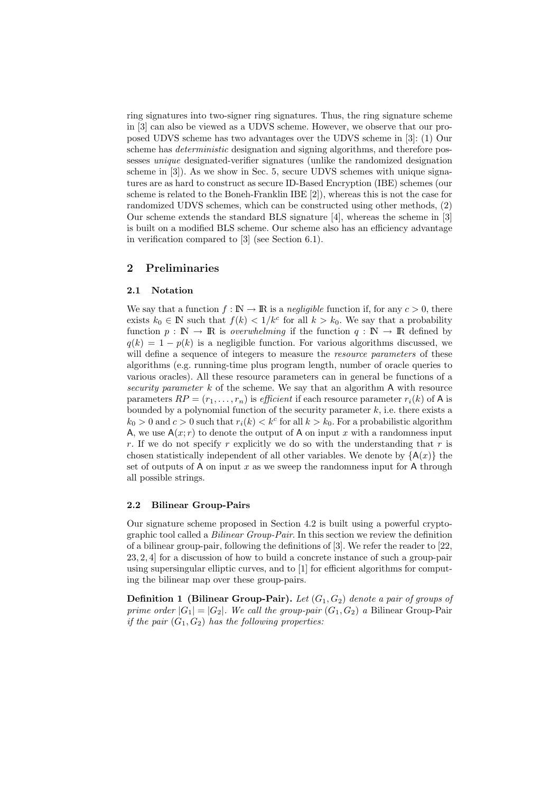ring signatures into two-signer ring signatures. Thus, the ring signature scheme in [3] can also be viewed as a UDVS scheme. However, we observe that our proposed UDVS scheme has two advantages over the UDVS scheme in [3]: (1) Our scheme has *deterministic* designation and signing algorithms, and therefore possesses unique designated-verifier signatures (unlike the randomized designation scheme in [3]). As we show in Sec. 5, secure UDVS schemes with unique signatures are as hard to construct as secure ID-Based Encryption (IBE) schemes (our scheme is related to the Boneh-Franklin IBE [2]), whereas this is not the case for randomized UDVS schemes, which can be constructed using other methods, (2) Our scheme extends the standard BLS signature [4], whereas the scheme in [3] is built on a modified BLS scheme. Our scheme also has an efficiency advantage in verification compared to [3] (see Section 6.1).

## 2 Preliminaries

#### 2.1 Notation

We say that a function  $f : \mathbb{N} \to \mathbb{R}$  is a *negligible* function if, for any  $c > 0$ , there exists  $k_0 \in \mathbb{N}$  such that  $f(k) < 1/k^c$  for all  $k > k_0$ . We say that a probability function  $p : \mathbb{N} \to \mathbb{R}$  is *overwhelming* if the function  $q : \mathbb{N} \to \mathbb{R}$  defined by  $q(k) = 1 - p(k)$  is a negligible function. For various algorithms discussed, we will define a sequence of integers to measure the *resource parameters* of these algorithms (e.g. running-time plus program length, number of oracle queries to various oracles). All these resource parameters can in general be functions of a security parameter  $k$  of the scheme. We say that an algorithm  $A$  with resource parameters  $RP = (r_1, \ldots, r_n)$  is *efficient* if each resource parameter  $r_i(k)$  of A is bounded by a polynomial function of the security parameter  $k$ , i.e. there exists a  $k_0 > 0$  and  $c > 0$  such that  $r_i(k) < k^c$  for all  $k > k_0$ . For a probabilistic algorithm A, we use  $A(x; r)$  to denote the output of A on input x with a randomness input r. If we do not specify r explicitly we do so with the understanding that r is chosen statistically independent of all other variables. We denote by  ${A(x)}$  the set of outputs of A on input x as we sweep the randomness input for A through all possible strings.

#### 2.2 Bilinear Group-Pairs

Our signature scheme proposed in Section 4.2 is built using a powerful cryptographic tool called a Bilinear Group-Pair. In this section we review the definition of a bilinear group-pair, following the definitions of [3]. We refer the reader to [22, 23, 2, 4] for a discussion of how to build a concrete instance of such a group-pair using supersingular elliptic curves, and to [1] for efficient algorithms for computing the bilinear map over these group-pairs.

**Definition 1 (Bilinear Group-Pair).** Let  $(G_1, G_2)$  denote a pair of groups of prime order  $|G_1| = |G_2|$ . We call the group-pair  $(G_1, G_2)$  a Bilinear Group-Pair if the pair  $(G_1, G_2)$  has the following properties: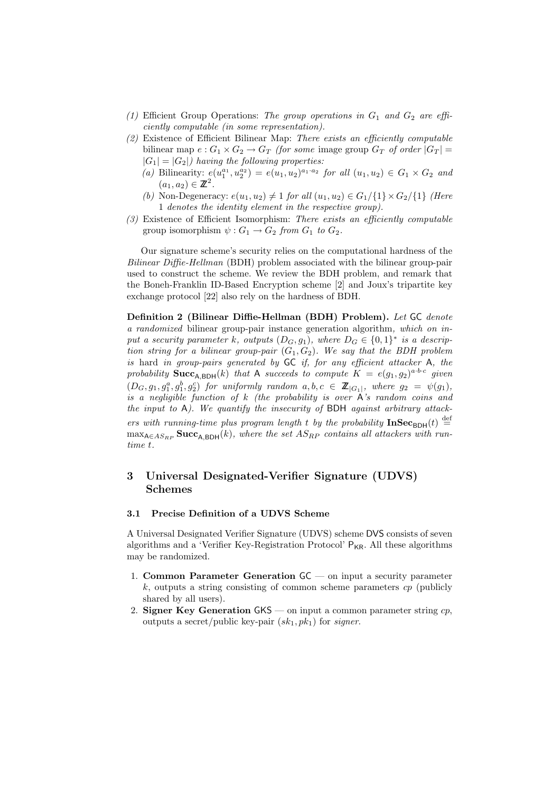- (1) Efficient Group Operations: The group operations in  $G_1$  and  $G_2$  are efficiently computable (in some representation).
- (2) Existence of Efficient Bilinear Map: There exists an efficiently computable bilinear map  $e: G_1 \times G_2 \to G_T$  (for some image group  $G_T$  of order  $|G_T|$  =  $|G_1| = |G_2|$ ) having the following properties:
	- (a) Bilinearity:  $e(u_1^{a_1}, u_2^{a_2}) = e(u_1, u_2)^{a_1 \cdot a_2}$  for all  $(u_1, u_2) \in G_1 \times G_2$  and  $(a_1, a_2) \in \mathbb{Z}^2$ .
	- (b) Non-Degeneracy:  $e(u_1, u_2) \neq 1$  for all  $(u_1, u_2) \in G_1/\{1\} \times G_2/\{1\}$  (Here 1 denotes the identity element in the respective group).
- (3) Existence of Efficient Isomorphism: There exists an efficiently computable group isomorphism  $\psi: G_1 \to G_2$  from  $G_1$  to  $G_2$ .

Our signature scheme's security relies on the computational hardness of the Bilinear Diffie-Hellman (BDH) problem associated with the bilinear group-pair used to construct the scheme. We review the BDH problem, and remark that the Boneh-Franklin ID-Based Encryption scheme [2] and Joux's tripartite key exchange protocol [22] also rely on the hardness of BDH.

Definition 2 (Bilinear Diffie-Hellman (BDH) Problem). Let GC denote a randomized bilinear group-pair instance generation algorithm, which on input a security parameter k, outputs  $(D_G, g_1)$ , where  $D_G \in \{0,1\}^*$  is a description string for a bilinear group-pair  $(G_1, G_2)$ . We say that the BDH problem is hard in group-pairs generated by GC if, for any efficient attacker A, the probability  $\textbf{Succ}_{A,\text{BDH}}(k)$  that A succeeds to compute  $K = e(g_1, g_2)^{a \cdot b \cdot c}$  given  $(D_G, g_1, g_1^a, g_2^b, g_2^c)$  for uniformly random  $a, b, c \in \mathbb{Z}_{|G_1|}$ , where  $g_2 = \psi(g_1)$ , is a negligible function of  $k$  (the probability is over  $\overrightarrow{A}$ 's random coins and the input to  $A$ ). We quantify the insecurity of BDH against arbitrary attackers with running-time plus program length t by the probability  $\text{InSec}_{BDH}(t) \stackrel{\text{def}}{=}$  $\max_{A \in AS_{RP}} \textbf{Succ}_{A,BDH}(k)$ , where the set  $AS_{RP}$  contains all attackers with runtime t.

## 3 Universal Designated-Verifier Signature (UDVS) Schemes

#### 3.1 Precise Definition of a UDVS Scheme

A Universal Designated Verifier Signature (UDVS) scheme DVS consists of seven algorithms and a 'Verifier Key-Registration Protocol'  $P_{KR}$ . All these algorithms may be randomized.

- 1. Common Parameter Generation  $GC$  on input a security parameter  $k$ , outputs a string consisting of common scheme parameters  $cp$  (publicly shared by all users).
- 2. Signer Key Generation  $GKS$  on input a common parameter string  $cp$ , outputs a secret/public key-pair  $(sk_1, pk_1)$  for signer.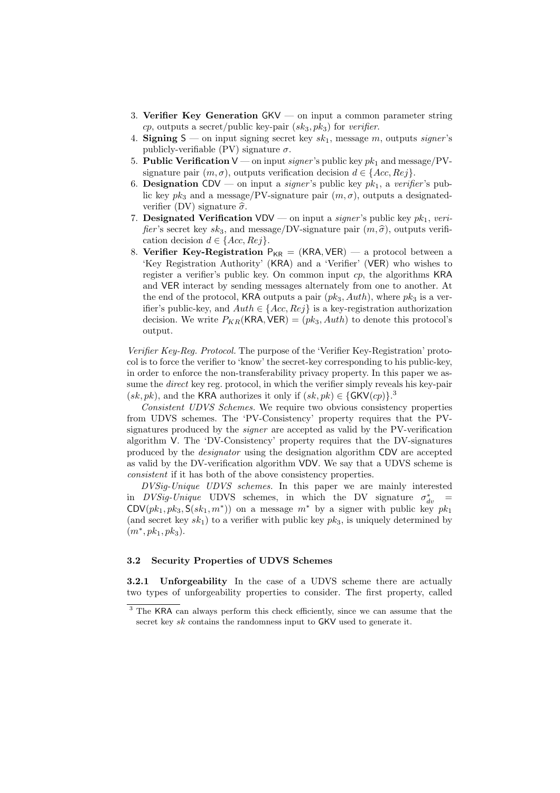- 3. Verifier Key Generation GKV on input a common parameter string cp, outputs a secret/public key-pair  $(sk_3, pk_3)$  for verifier.
- 4. Signing  $S$  on input signing secret key  $sk_1$ , message m, outputs signer's publicly-verifiable (PV) signature  $\sigma$ .
- 5. Public Verification  $V$  on input signer's public key  $pk_1$  and message/PVsignature pair  $(m, \sigma)$ , outputs verification decision  $d \in \{Acc, Rej\}.$
- 6. Designation CDV on input a *signer*'s public key  $pk_1$ , a verifier's public key  $pk_3$  and a message/PV-signature pair  $(m, \sigma)$ , outputs a designatedverifier (DV) signature  $\hat{\sigma}$ .
- 7. Designated Verification VDV on input a signer's public key  $pk_1$ , verifier's secret key  $sk_3$ , and message/DV-signature pair  $(m, \hat{\sigma})$ , outputs verification decision  $d \in \{Acc, Rej\}.$
- 8. Verifier Key-Registration  $P_{KR} = (KRA, VER)$  a protocol between a 'Key Registration Authority' (KRA) and a 'Verifier' (VER) who wishes to register a verifier's public key. On common input cp, the algorithms KRA and VER interact by sending messages alternately from one to another. At the end of the protocol, KRA outputs a pair  $(pk_3, Author)$ , where  $pk_3$  is a verifier's public-key, and  $Auth \in \{Acc, Rej\}$  is a key-registration authorization decision. We write  $P_{KR}(KRA, VER) = (pk_3, Author)$  to denote this protocol's output.

Verifier Key-Reg. Protocol. The purpose of the 'Verifier Key-Registration' protocol is to force the verifier to 'know' the secret-key corresponding to his public-key, in order to enforce the non-transferability privacy property. In this paper we assume the *direct* key reg. protocol, in which the verifier simply reveals his key-pair  $(sk, pk)$ , and the KRA authorizes it only if  $(sk, pk) \in \{\text{GKV}(cp)\}.^3$ 

Consistent UDVS Schemes. We require two obvious consistency properties from UDVS schemes. The 'PV-Consistency' property requires that the PVsignatures produced by the signer are accepted as valid by the PV-verification algorithm V. The 'DV-Consistency' property requires that the DV-signatures produced by the designator using the designation algorithm CDV are accepted as valid by the DV-verification algorithm VDV. We say that a UDVS scheme is consistent if it has both of the above consistency properties.

DVSig-Unique UDVS schemes. In this paper we are mainly interested in  $DVSig\text{-}Unique$  UDVS schemes, in which the DV signature  $\sigma_{dv}^*$  = CDV $(pk_1, pk_3, S(sk_1, m^*)$  on a message  $m^*$  by a signer with public key  $pk_1$ (and secret key  $sk_1$ ) to a verifier with public key  $pk_3$ , is uniquely determined by  $(m^*, p k_1, p k_3).$ 

## 3.2 Security Properties of UDVS Schemes

**3.2.1 Unforgeability** In the case of a UDVS scheme there are actually two types of unforgeability properties to consider. The first property, called

<sup>&</sup>lt;sup>3</sup> The KRA can always perform this check efficiently, since we can assume that the secret key sk contains the randomness input to GKV used to generate it.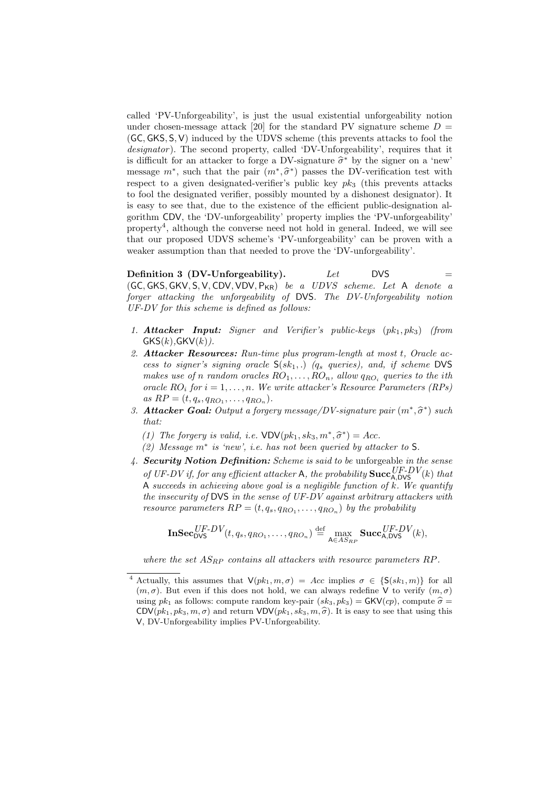called 'PV-Unforgeability', is just the usual existential unforgeability notion under chosen-message attack [20] for the standard PV signature scheme  $D =$ (GC, GKS, S, V) induced by the UDVS scheme (this prevents attacks to fool the designator). The second property, called 'DV-Unforgeability', requires that it is difficult for an attacker to forge a DV-signature  $\hat{\sigma}^*$  by the signer on a 'new' message  $m^*$ , such that the pair  $(m^*, \hat{\sigma}^*)$  passes the DV-verification test with respect to a given designated-verifier's public key  $pk_3$  (this prevents attacks to fool the designated verifier, possibly mounted by a dishonest designator). It is easy to see that, due to the existence of the efficient public-designation algorithm CDV, the 'DV-unforgeability' property implies the 'PV-unforgeability' property<sup>4</sup> , although the converse need not hold in general. Indeed, we will see that our proposed UDVS scheme's 'PV-unforgeability' can be proven with a weaker assumption than that needed to prove the 'DV-unforgeability'.

Definition 3 (DV-Unforgeability).  $Let$  DVS (GC, GKS, GKV, S, V, CDV, VDV, P<sub>KR</sub>) be a UDVS scheme. Let A denote a forger attacking the unforgeability of DVS. The DV-Unforgeability notion UF-DV for this scheme is defined as follows:

- 1. **Attacker Input:** Signer and Verifier's public-keys  $(pk_1, pk_3)$  (from  $GKS(k)$ ,  $GKV(k)$ ).
- 2. Attacker Resources: Run-time plus program-length at most t, Oracle access to signer's signing oracle  $S(sk_1,.)$  ( $q_s$  queries), and, if scheme DVS makes use of n random oracles  $RO_1, \ldots, RO_n$ , allow  $q_{RO_i}$  queries to the ith oracle  $RO_i$  for  $i = 1, ..., n$ . We write attacker's Resource Parameters (RPs) as  $RP = (t, q_s, q_{RO_1}, \ldots, q_{RO_n}).$
- 3. Attacker Goal: Output a forgery message/DV-signature pair  $(m^*, \hat{\sigma}^*)$  such that:
	- (1) The forgery is valid, i.e.  $VDV(pk_1, sk_3, m^*, \hat{\sigma}^*) = Acc.$
	- (2) Message m<sup>∗</sup> is 'new', i.e. has not been queried by attacker to S.
- 4. Security Notion Definition: Scheme is said to be unforgeable in the sense of UF-DV if, for any efficient attacker A, the probability  $\mathbf{Succ}_{A, DVS}^{UF-DV}(k)$  that A succeeds in achieving above goal is a negligible function of  $k$ . We quantify the insecurity of DVS in the sense of UF-DV against arbitrary attackers with resource parameters  $RP = (t, q_s, q_{RO_1}, \ldots, q_{RO_n})$  by the probability

$$
\mathbf{InSec}_{\mathsf{DVS}}^{UF-DV}(t,q_s,q_{RO_1},\ldots,q_{RO_n})\stackrel{\mathrm{def}}{=}\max_{\mathsf{A}\in AS_{RP}}\mathbf{Succ}_{\mathsf{A},\mathsf{DVS}}^{UF-DV}(k),
$$

where the set  $AS_{RP}$  contains all attackers with resource parameters RP.

<sup>&</sup>lt;sup>4</sup> Actually, this assumes that  $V(pk_1, m, \sigma) = Acc$  implies  $\sigma \in \{S(sk_1, m)\}$  for all  $(m, \sigma)$ . But even if this does not hold, we can always redefine V to verify  $(m, \sigma)$ using  $pk_1$  as follows: compute random key-pair  $(sk_3, pk_3) = \mathsf{GKV}(cp)$ , compute  $\hat{\sigma} =$  $CDV(pk_1, pk_3, m, \sigma)$  and return  $VDV(pk_1, sk_3, m, \hat{\sigma})$ . It is easy to see that using this V, DV-Unforgeability implies PV-Unforgeability.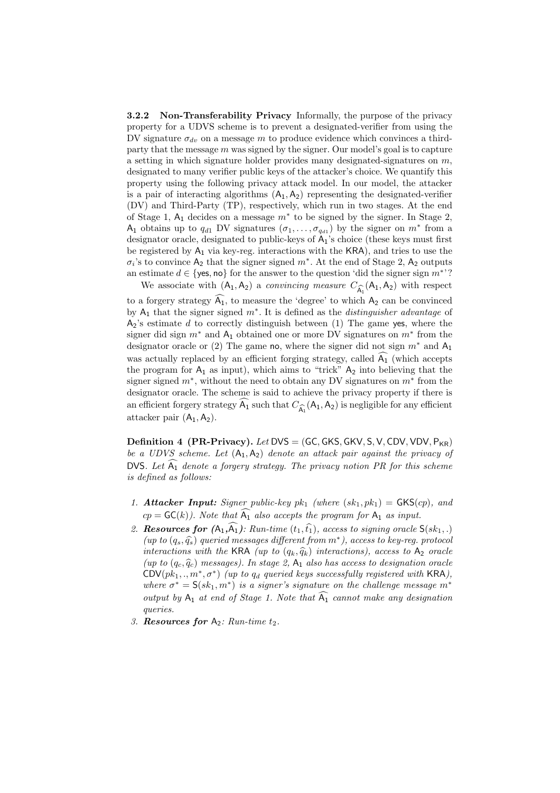**3.2.2** Non-Transferability Privacy Informally, the purpose of the privacy property for a UDVS scheme is to prevent a designated-verifier from using the DV signature  $\sigma_{dv}$  on a message m to produce evidence which convinces a thirdparty that the message  $m$  was signed by the signer. Our model's goal is to capture a setting in which signature holder provides many designated-signatures on  $m$ , designated to many verifier public keys of the attacker's choice. We quantify this property using the following privacy attack model. In our model, the attacker is a pair of interacting algorithms  $(A_1, A_2)$  representing the designated-verifier (DV) and Third-Party (TP), respectively, which run in two stages. At the end of Stage 1,  $A_1$  decides on a message  $m^*$  to be signed by the signer. In Stage 2, A<sub>1</sub> obtains up to  $q_{d1}$  DV signatures  $(\sigma_1, \ldots, \sigma_{q_{d1}})$  by the signer on  $m^*$  from a designator oracle, designated to public-keys of  $A_1$ 's choice (these keys must first be registered by  $A_1$  via key-reg. interactions with the  $KRA$ ), and tries to use the  $\sigma_i$ 's to convince  $A_2$  that the signer signed  $m^*$ . At the end of Stage 2,  $A_2$  outputs an estimate  $d \in \{$ yes, no for the answer to the question 'did the signer sign  $m^*$ '? We associate with  $(A_1, A_2)$  a *convincing measure*  $C_{\widehat{A_1}}(A_1, A_2)$  with respect

to a forgery strategy  $\widehat{A_1}$ , to measure the 'degree' to which  $A_2$  can be convinced by  $A_1$  that the signer signed  $m^*$ . It is defined as the *distinguisher advantage* of  $A_2$ 's estimate d to correctly distinguish between (1) The game yes, where the signer did sign  $m^*$  and  $A_1$  obtained one or more DV signatures on  $m^*$  from the designator oracle or (2) The game no, where the signer did not sign  $m^*$  and  $A_1$ was actually replaced by an efficient forging strategy, called  $\widehat{A_1}$  (which accepts the program for  $A_1$  as input), which aims to "trick"  $A_2$  into believing that the signer signed  $m^*$ , without the need to obtain any DV signatures on  $m^*$  from the designator oracle. The scheme is said to achieve the privacy property if there is an efficient forgery strategy  $\widehat{A_1}$  such that  $C_{\widehat{A_1}}(A_1, A_2)$  is negligible for any efficient attacker pair  $(A_1, A_2)$ .

**Definition 4 (PR-Privacy).** Let  $DVS = (GC, GKS, GKV, S, V, CDV, VDV, P_{KR})$ be a UDVS scheme. Let  $(A_1, A_2)$  denote an attack pair against the privacy of DVS. Let  $\widehat{A_1}$  denote a forgery strategy. The privacy notion PR for this scheme is defined as follows:

- 1. Attacker Input: Signer public-key  $pk_1$  (where  $(sk_1, pk_1) = GKS(cp)$ , and  $cp = \mathsf{GC}(k)$ . Note that  $\widehat{A_1}$  also accepts the program for  $A_1$  as input.
- 2. Resources for  $(A_1,\widehat{A_1})$ : Run-time  $(t_1,\widehat{t_1})$ , access to signing oracle  $\mathsf{S}(sk_1,.)$ (up to  $(q_s, \hat{q}_s)$  queried messages different from  $m^*$ ), access to key-reg. protocol interactions with the KRA (up to  $(q_k, \hat{q}_k)$  interactions), access to A<sub>2</sub> oracle (up to  $(q_c, \hat{q}_c)$  messages). In stage 2, A<sub>1</sub> also has access to designation oracle  $\mathsf{CDV}(pk_1,.,m^*,\sigma^*)$  (up to  $q_d$  queried keys successfully registered with KRA), where  $\sigma^* = \mathsf{S}(sk_1, m^*)$  is a signer's signature on the challenge message  $m^*$ output by  $A_1$  at end of Stage 1. Note that  $\widehat{A_1}$  cannot make any designation queries.
- 3. Resources for  $A_2$ : Run-time  $t_2$ .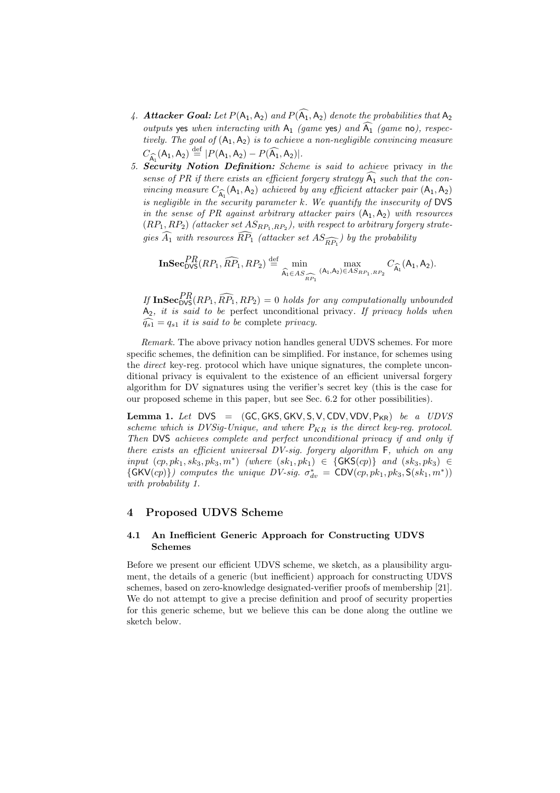- 4. Attacker Goal: Let  $P(A_1, A_2)$  and  $P(\widehat{A_1}, A_2)$  denote the probabilities that  $A_2$ outputs yes when interacting with  $A_1$  (game yes) and  $\widehat{A_1}$  (game no), respectively. The goal of  $(A_1, A_2)$  is to achieve a non-negligible convincing measure  $C_{\widehat{A_1}}(A_1, A_2) \stackrel{\text{def}}{=} |P(A_1, A_2) - P(\widehat{A_1}, A_2)|.$
- 5. Security Notion Definition: Scheme is said to achieve privacy in the sense of PR if there exists an efficient forgery strategy  $\widehat{A_1}$  such that the convincing measure  $C_{\widehat{A_1}}(A_1, A_2)$  achieved by any efficient attacker pair  $(A_1, A_2)$ is negligible in the security parameter  $k$ . We quantify the insecurity of DVS in the sense of PR against arbitrary attacker pairs  $(A_1, A_2)$  with resources  $(RP_1, RP_2)$  (attacker set  $AS_{RP_1, RP_2}$ ), with respect to arbitrary forgery strategies  $\widehat{A_1}$  with resources  $\widehat{RP_1}$  (attacker set  $AS_{\widehat{RP_1}}$ ) by the probability

$$
\mathbf{InSec}_{\mathsf{DVS}}^{PR}(RP_1, \widehat{RP}_1, RP_2) \stackrel{\text{def}}{=} \min_{\widehat{A_1} \in AS_{\widehat{RP}_1}} \max_{(A_1, A_2) \in AS_{RP_1, RP_2}} C_{\widehat{A_1}}(A_1, A_2).
$$

If  $\text{InSec}_{\text{DVS}}^{PR}(RP_1, \widehat{RP}_1, RP_2) = 0$  holds for any computationally unbounded  $A_2$ , it is said to be perfect unconditional privacy. If privacy holds when  $\widehat{q_{s1}} = q_{s1}$  it is said to be complete privacy.

Remark. The above privacy notion handles general UDVS schemes. For more specific schemes, the definition can be simplified. For instance, for schemes using the direct key-reg. protocol which have unique signatures, the complete unconditional privacy is equivalent to the existence of an efficient universal forgery algorithm for DV signatures using the verifier's secret key (this is the case for our proposed scheme in this paper, but see Sec. 6.2 for other possibilities).

Lemma 1. Let  $DVS = (GC, GKS, GKV, S, V, CDV, VDV, P_{KR})$  be a  $UDVS$ scheme which is DVSig-Unique, and where  $P_{KR}$  is the direct key-reg. protocol. Then DVS achieves complete and perfect unconditional privacy if and only if there exists an efficient universal DV-sig. forgery algorithm F, which on any  $input (cp, pk_1, sk_3, pk_3, m<sup>*</sup>)$  (where  $(sk_1, pk_1$ ) ∈ {GKS(cp)} and  $(sk_3, pk_3$ ) ∈  $\{GKV(cp)\}\)$  computes the unique DV-sig.  $\sigma_{dv}^* = CDV(cp, pk_1, pk_3, S(sk_1, m^*))$ with probability 1.

## 4 Proposed UDVS Scheme

#### 4.1 An Inefficient Generic Approach for Constructing UDVS Schemes

Before we present our efficient UDVS scheme, we sketch, as a plausibility argument, the details of a generic (but inefficient) approach for constructing UDVS schemes, based on zero-knowledge designated-verifier proofs of membership [21]. We do not attempt to give a precise definition and proof of security properties for this generic scheme, but we believe this can be done along the outline we sketch below.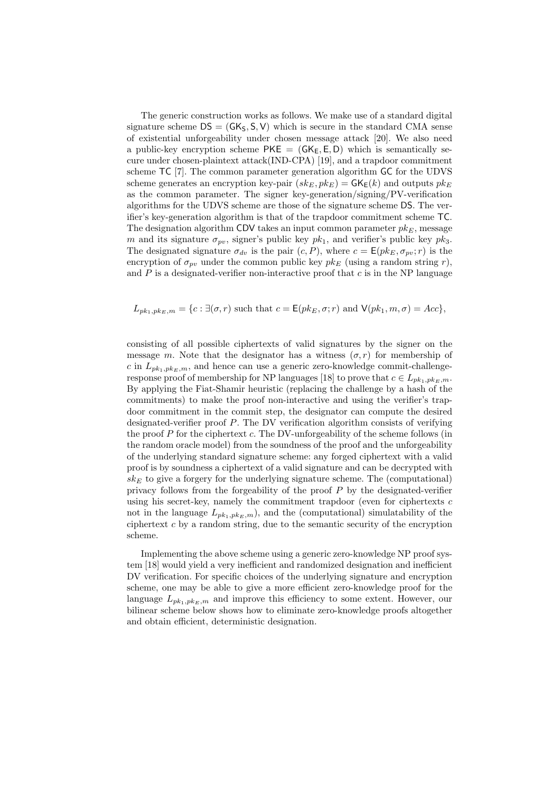The generic construction works as follows. We make use of a standard digital signature scheme  $DS = (GK_S, S, V)$  which is secure in the standard CMA sense of existential unforgeability under chosen message attack [20]. We also need a public-key encryption scheme  $PKE = (GK_E, E, D)$  which is semantically secure under chosen-plaintext attack(IND-CPA) [19], and a trapdoor commitment scheme TC [7]. The common parameter generation algorithm GC for the UDVS scheme generates an encryption key-pair  $(s k_E, p k_E) = \mathsf{GK}_{\mathsf{E}}(k)$  and outputs  $p k_E$ as the common parameter. The signer key-generation/signing/PV-verification algorithms for the UDVS scheme are those of the signature scheme DS. The verifier's key-generation algorithm is that of the trapdoor commitment scheme TC. The designation algorithm CDV takes an input common parameter  $pk_E$ , message m and its signature  $\sigma_{pv}$ , signer's public key  $pk_1$ , and verifier's public key  $pk_3$ . The designated signature  $\sigma_{dv}$  is the pair  $(c, P)$ , where  $c = E(pk_E, \sigma_{vv}; r)$  is the encryption of  $\sigma_{pv}$  under the common public key  $pk_E$  (using a random string r), and  $P$  is a designated-verifier non-interactive proof that  $c$  is in the NP language

## $L_{pk_1,pk_E,m} = \{c : \exists (\sigma,r) \text{ such that } c = \mathsf{E}(pk_E, \sigma;r) \text{ and } \mathsf{V}(pk_1,m,\sigma) = Acc\},\$

consisting of all possible ciphertexts of valid signatures by the signer on the message m. Note that the designator has a witness  $(\sigma, r)$  for membership of c in  $L_{pk_1,pk_E,m}$ , and hence can use a generic zero-knowledge commit-challengeresponse proof of membership for NP languages [18] to prove that  $c \in L_{pk_1,pk_E,m}$ . By applying the Fiat-Shamir heuristic (replacing the challenge by a hash of the commitments) to make the proof non-interactive and using the verifier's trapdoor commitment in the commit step, the designator can compute the desired designated-verifier proof P. The DV verification algorithm consists of verifying the proof  $P$  for the ciphertext  $c$ . The DV-unforgeability of the scheme follows (in the random oracle model) from the soundness of the proof and the unforgeability of the underlying standard signature scheme: any forged ciphertext with a valid proof is by soundness a ciphertext of a valid signature and can be decrypted with  $s k_E$  to give a forgery for the underlying signature scheme. The (computational) privacy follows from the forgeability of the proof  $P$  by the designated-verifier using his secret-key, namely the commitment trapdoor (even for ciphertexts  $c$ not in the language  $L_{pk_1,pk_E,m}$ , and the (computational) simulatability of the ciphertext  $c$  by a random string, due to the semantic security of the encryption scheme.

Implementing the above scheme using a generic zero-knowledge NP proof system [18] would yield a very inefficient and randomized designation and inefficient DV verification. For specific choices of the underlying signature and encryption scheme, one may be able to give a more efficient zero-knowledge proof for the language  $L_{pk_1,pk_E,m}$  and improve this efficiency to some extent. However, our bilinear scheme below shows how to eliminate zero-knowledge proofs altogether and obtain efficient, deterministic designation.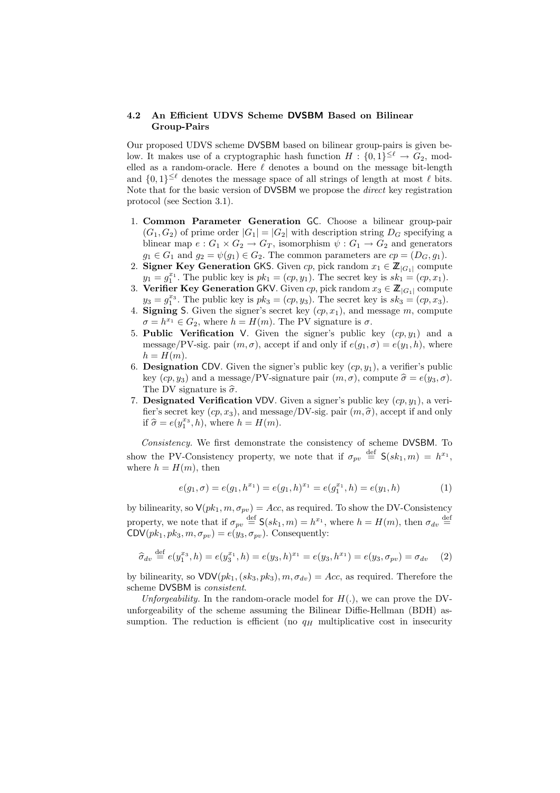#### 4.2 An Efficient UDVS Scheme DVSBM Based on Bilinear Group-Pairs

Our proposed UDVS scheme DVSBM based on bilinear group-pairs is given below. It makes use of a cryptographic hash function  $H: \{0,1\}^{\leq \ell} \to G_2$ , modelled as a random-oracle. Here  $\ell$  denotes a bound on the message bit-length and  $\{0,1\}^{\leq \ell}$  denotes the message space of all strings of length at most  $\ell$  bits. Note that for the basic version of DVSBM we propose the *direct* key registration protocol (see Section 3.1).

- 1. Common Parameter Generation GC. Choose a bilinear group-pair  $(G_1, G_2)$  of prime order  $|G_1| = |G_2|$  with description string  $D_G$  specifying a blinear map  $e: G_1 \times G_2 \to G_T$ , isomorphism  $\psi: G_1 \to G_2$  and generators  $g_1 \in G_1$  and  $g_2 = \psi(g_1) \in G_2$ . The common parameters are  $cp = (D_G, g_1)$ .
- 2. Signer Key Generation GKS. Given cp, pick random  $x_1 \in \mathbb{Z}_{|G_1|}$  compute  $y_1 = g_1^{x_1}$ . The public key is  $pk_1 = (cp, y_1)$ . The secret key is  $sk_1 = (cp, x_1)$ .
- 3. Verifier Key Generation GKV. Given cp, pick random  $x_3 \in \mathbb{Z}_{|G_1|}$  compute  $y_3 = g_1^{x_3}$ . The public key is  $pk_3 = (cp, y_3)$ . The secret key is  $sk_3 = (cp, x_3)$ .
- 4. Signing S. Given the signer's secret key  $(cp, x_1)$ , and message m, compute  $\sigma = h^{x_1} \in G_2$ , where  $h = H(m)$ . The PV signature is  $\sigma$ .
- 5. Public Verification V. Given the signer's public key  $(cp, y_1)$  and a message/PV-sig. pair  $(m, \sigma)$ , accept if and only if  $e(g_1, \sigma) = e(y_1, h)$ , where  $h = H(m)$ .
- 6. **Designation CDV**. Given the signer's public key  $(cp, y_1)$ , a verifier's public key  $(cp, y_3)$  and a message/PV-signature pair  $(m, \sigma)$ , compute  $\hat{\sigma} = e(y_3, \sigma)$ . The DV signature is  $\widehat{\sigma}$ .
- 7. Designated Verification VDV. Given a signer's public key  $(cp, y_1)$ , a verifier's secret key  $(cp, x_3)$ , and message/DV-sig. pair  $(m, \hat{\sigma})$ , accept if and only if  $\hat{\sigma} = e(y_1^{x_3}, h)$ , where  $h = H(m)$ .

Consistency. We first demonstrate the consistency of scheme DVSBM. To show the PV-Consistency property, we note that if  $\sigma_{pv} \stackrel{\text{def}}{=} \mathsf{S}(sk_1,m) = h^{x_1}$ , where  $h = H(m)$ , then

$$
e(g_1, \sigma) = e(g_1, h^{x_1}) = e(g_1, h)^{x_1} = e(g_1^{x_1}, h) = e(y_1, h)
$$
\n(1)

by bilinearity, so  $V(pk_1, m, \sigma_{pv}) = Acc$ , as required. To show the DV-Consistency property, we note that if  $\sigma_{pv} \stackrel{\text{def}}{=} \mathsf{S}(sk_1,m) = h^{x_1}$ , where  $h = H(m)$ , then  $\sigma_{dv} \stackrel{\text{def}}{=}$  $\text{CDV}(pk_1, pk_3, m, \sigma_{pv}) = e(y_3, \sigma_{pv})$ . Consequently:

$$
\widehat{\sigma}_{dv} \stackrel{\text{def}}{=} e(y_1^{x_3}, h) = e(y_3^{x_1}, h) = e(y_3, h)^{x_1} = e(y_3, h^{x_1}) = e(y_3, \sigma_{pv}) = \sigma_{dv} \tag{2}
$$

by bilinearity, so  $VDV(pk_1, (sk_3, pk_3), m, \sigma_{dv}) = Acc$ , as required. Therefore the scheme DVSBM is consistent.

Unforgeability. In the random-oracle model for  $H(.)$ , we can prove the DVunforgeability of the scheme assuming the Bilinear Diffie-Hellman (BDH) assumption. The reduction is efficient (no  $q_H$  multiplicative cost in insecurity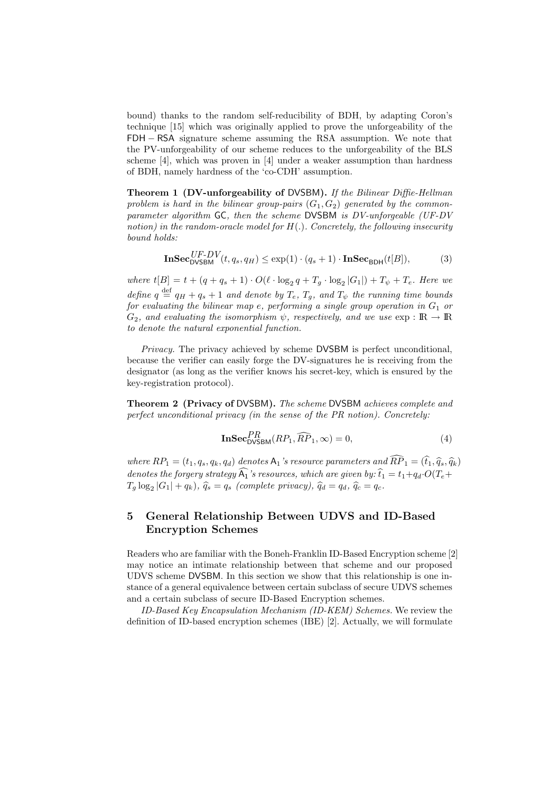bound) thanks to the random self-reducibility of BDH, by adapting Coron's technique [15] which was originally applied to prove the unforgeability of the FDH − RSA signature scheme assuming the RSA assumption. We note that the PV-unforgeability of our scheme reduces to the unforgeability of the BLS scheme [4], which was proven in [4] under a weaker assumption than hardness of BDH, namely hardness of the 'co-CDH' assumption.

Theorem 1 (DV-unforgeability of DVSBM). If the Bilinear Diffie-Hellman problem is hard in the bilinear group-pairs  $(G_1, G_2)$  generated by the commonparameter algorithm GC, then the scheme DVSBM is DV-unforgeable (UF-DV notion) in the random-oracle model for  $H(.)$ . Concretely, the following insecurity bound holds:

$$
\mathbf{InSec}_{\mathsf{DVSBM}}^{UF-DV}(t, q_s, q_H) \le \exp(1) \cdot (q_s + 1) \cdot \mathbf{InSec}_{\mathsf{BDH}}(t[B]),\tag{3}
$$

where  $t[B] = t + (q + q_s + 1) \cdot O(\ell \cdot \log_2 q + T_g \cdot \log_2 |G_1|) + T_{\psi} + T_e$ . Here we define  $q \stackrel{\text{def}}{=} q_H + q_s + 1$  and denote by  $T_e, T_g,$  and  $T_{\psi}$  the running time bounds for evaluating the bilinear map e, performing a single group operation in  $G_1$  or  $G_2$ , and evaluating the isomorphism  $\psi$ , respectively, and we use  $\exp : \mathbb{R} \to \mathbb{R}$ to denote the natural exponential function.

Privacy. The privacy achieved by scheme DVSBM is perfect unconditional, because the verifier can easily forge the DV-signatures he is receiving from the designator (as long as the verifier knows his secret-key, which is ensured by the key-registration protocol).

Theorem 2 (Privacy of DVSBM). The scheme DVSBM achieves complete and perfect unconditional privacy (in the sense of the PR notion). Concretely:

$$
\mathbf{InSec}_{\mathsf{DVSBM}}^{PR}(RP_1, \widehat{RP}_1, \infty) = 0,\tag{4}
$$

where  $RP_1 = (t_1, q_s, q_k, q_d)$  denotes  $A_1$ 's resource parameters and  $\widehat{RP}_1 = (\widehat{t}_1, \widehat{q}_s, \widehat{q}_k)$ denotes the forgery strategy  $\widehat{A_1}$ 's resources, which are given by:  $\widehat{t}_1 = t_1 + q_d \cdot O(T_e +$  $T_g \log_2 |G_1| + q_k$ ,  $\hat{q}_s = q_s$  (complete privacy),  $\hat{q}_d = q_d$ ,  $\hat{q}_c = q_c$ .

## 5 General Relationship Between UDVS and ID-Based Encryption Schemes

Readers who are familiar with the Boneh-Franklin ID-Based Encryption scheme [2] may notice an intimate relationship between that scheme and our proposed UDVS scheme DVSBM. In this section we show that this relationship is one instance of a general equivalence between certain subclass of secure UDVS schemes and a certain subclass of secure ID-Based Encryption schemes.

ID-Based Key Encapsulation Mechanism (ID-KEM) Schemes. We review the definition of ID-based encryption schemes (IBE) [2]. Actually, we will formulate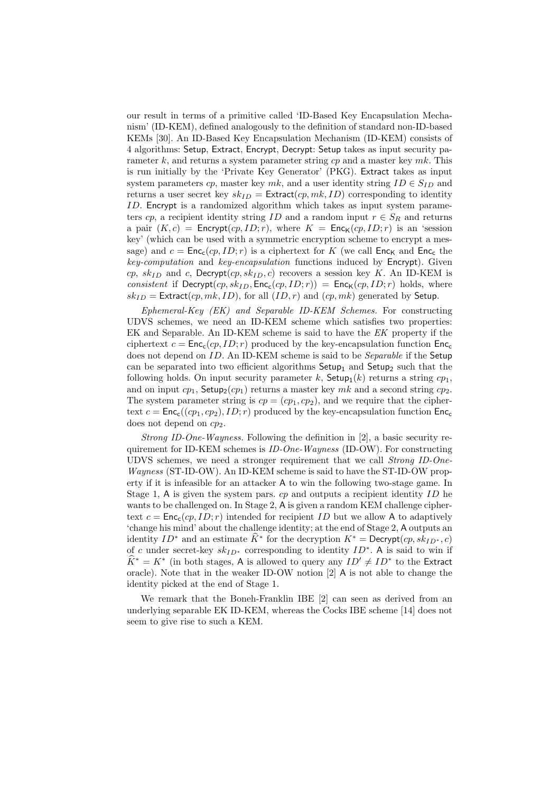our result in terms of a primitive called 'ID-Based Key Encapsulation Mechanism' (ID-KEM), defined analogously to the definition of standard non-ID-based KEMs [30]. An ID-Based Key Encapsulation Mechanism (ID-KEM) consists of 4 algorithms: Setup, Extract, Encrypt, Decrypt: Setup takes as input security parameter k, and returns a system parameter string  $cp$  and a master key mk. This is run initially by the 'Private Key Generator' (PKG). Extract takes as input system parameters cp, master key mk, and a user identity string  $ID \in S_{ID}$  and returns a user secret key  $sk_{ID} =$  Extract $(cp, mk, ID)$  corresponding to identity ID. Encrypt is a randomized algorithm which takes as input system parameters cp, a recipient identity string ID and a random input  $r \in S_R$  and returns a pair  $(K, c)$  = Encrypt $(cp, ID; r)$ , where  $K$  = Enc<sub>K</sub> $(cp, ID; r)$  is an 'session key' (which can be used with a symmetric encryption scheme to encrypt a message) and  $c = \text{Enc}_{\mathsf{c}}(cp, ID; r)$  is a ciphertext for K (we call  $\text{Enc}_{\mathsf{K}}$  and  $\text{Enc}_{\mathsf{c}}$  the key-computation and key-encapsulation functions induced by Encrypt). Given cp,  $sk_{ID}$  and c, Decrypt $(cp, sk_{ID}, c)$  recovers a session key K. An ID-KEM is consistent if  $Decrypt(cp, sk_{ID}, Enc_c(cp, ID; r)) = Enc_K(cp, ID; r)$  holds, where  $sk_{ID}$  = Extract(cp, mk, ID), for all  $(ID, r)$  and  $(cp, mk)$  generated by Setup.

Ephemeral-Key (EK) and Separable ID-KEM Schemes. For constructing UDVS schemes, we need an ID-KEM scheme which satisfies two properties: EK and Separable. An ID-KEM scheme is said to have the EK property if the ciphertext  $c = \text{Enc}_{c}(cp, ID; r)$  produced by the key-encapsulation function  $\text{Enc}_{c}$ does not depend on ID. An ID-KEM scheme is said to be *Separable* if the Setup can be separated into two efficient algorithms  $\mathsf{Setup}_1$  and  $\mathsf{Setup}_2$  such that the following holds. On input security parameter k,  $\mathsf{Setup}_1(k)$  returns a string  $cp_1$ , and on input  $cp_1$ , Setup<sub>2</sub>( $cp_1$ ) returns a master key mk and a second string  $cp_2$ . The system parameter string is  $cp = (cp_1, cp_2)$ , and we require that the ciphertext  $c = \text{Enc}_{c}((cp_1, cp_2), ID; r)$  produced by the key-encapsulation function  $\text{Enc}_{c}$ does not depend on  $cp_2$ .

Strong ID-One-Wayness. Following the definition in  $[2]$ , a basic security requirement for ID-KEM schemes is  $ID-One-Wauness$  (ID-OW). For constructing UDVS schemes, we need a stronger requirement that we call Strong ID-One-Wayness (ST-ID-OW). An ID-KEM scheme is said to have the ST-ID-OW property if it is infeasible for an attacker A to win the following two-stage game. In Stage 1, A is given the system pars.  $cp$  and outputs a recipient identity ID he wants to be challenged on. In Stage 2, A is given a random KEM challenge ciphertext  $c = \text{Enc}_{c}(cp, ID; r)$  intended for recipient ID but we allow A to adaptively 'change his mind' about the challenge identity; at the end of Stage 2, A outputs an identity  $ID^*$  and an estimate  $\widehat{K}^*$  for the decryption  $K^* = \text{Decrypt}(cp, sk_{ID^*}, c)$ of c under secret-key  $sk_{ID^*}$  corresponding to identity  $ID^*$ . A is said to win if  $\widehat{K}^* = K^*$  (in both stages, A is allowed to query any  $ID' \neq ID^*$  to the Extract oracle). Note that in the weaker ID-OW notion [2] A is not able to change the identity picked at the end of Stage 1.

We remark that the Boneh-Franklin IBE [2] can seen as derived from an underlying separable EK ID-KEM, whereas the Cocks IBE scheme [14] does not seem to give rise to such a KEM.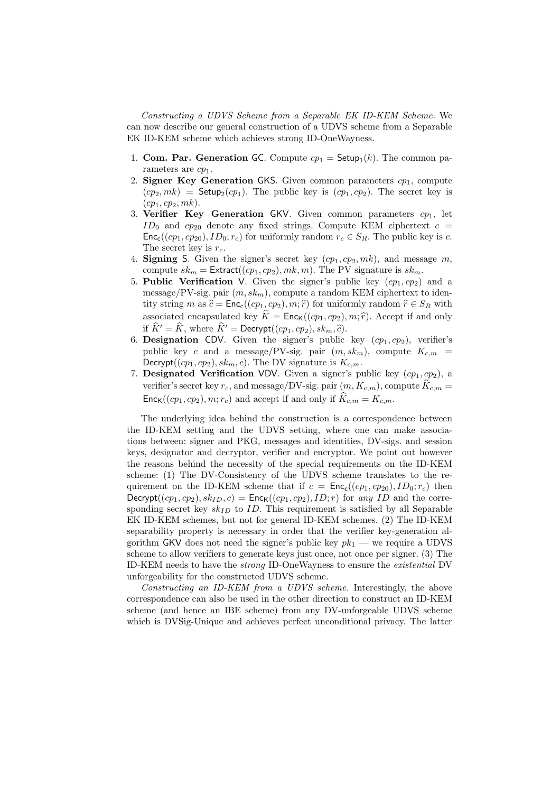Constructing a UDVS Scheme from a Separable EK ID-KEM Scheme. We can now describe our general construction of a UDVS scheme from a Separable EK ID-KEM scheme which achieves strong ID-OneWayness.

- 1. **Com. Par. Generation GC**. Compute  $cp_1 = \mathsf{Setup}_1(k)$ . The common parameters are  $cp_1$ .
- 2. Signer Key Generation GKS. Given common parameters  $cp_1$ , compute  $(cp_2, mk)$  = Setup<sub>2</sub> $(cp_1)$ . The public key is  $(cp_1, cp_2)$ . The secret key is  $(cp_1, cp_2, mk).$
- 3. Verifier Key Generation GKV. Given common parameters  $c_{\nu_1}$ , let  $ID_0$  and  $cp_{20}$  denote any fixed strings. Compute KEM ciphertext  $c =$  $\mathsf{Enc}_{\mathsf{c}}((cp_1, cp_{20}), ID_0; r_c)$  for uniformly random  $r_c \in S_R$ . The public key is c. The secret key is  $r_c$ .
- 4. Signing S. Given the signer's secret key  $(ep_1, cp_2, mk)$ , and message m, compute  $sk_m = \text{Extract}((cp_1, cp_2), mk, m)$ . The PV signature is  $sk_m$ .
- 5. Public Verification V. Given the signer's public key  $(cp_1, cp_2)$  and a message/PV-sig. pair  $(m, sk_m)$ , compute a random KEM ciphertext to identity string m as  $\hat{c} = \text{Enc}_{c}((cp_1, cp_2), m; \hat{r})$  for uniformly random  $\hat{r} \in S_R$  with associated encapsulated key  $\hat{K} = \textsf{Enc}_{K}((cp_{1}, cp_{2}), m; \hat{r})$ . Accept if and only if  $\hat{K}' = \hat{K}$ , where  $\hat{K}' = \text{Decrypt}((cp_1, cp_2), sk_m, \hat{c})$ .
- 6. Designation CDV. Given the signer's public key  $(ep_1, cp_2)$ , verifier's public key c and a message/PV-sig. pair  $(m, sk_m)$ , compute  $K_{c,m}$ Decrypt( $(cp_1, cp_2), sk_m, c$ ). The DV signature is  $K_{c,m}$ .
- 7. Designated Verification VDV. Given a signer's public key  $(cp_1, cp_2)$ , a verifier's secret key  $r_c$ , and message/DV-sig. pair  $(m, K_{c,m})$ , compute  $\hat{K}_{c,m} =$  $Enc_{\mathcal{K}}((cp_1, cp_2), m; r_c)$  and accept if and only if  $K_{c,m} = K_{c,m}$ .

The underlying idea behind the construction is a correspondence between the ID-KEM setting and the UDVS setting, where one can make associations between: signer and PKG, messages and identities, DV-sigs. and session keys, designator and decryptor, verifier and encryptor. We point out however the reasons behind the necessity of the special requirements on the ID-KEM scheme: (1) The DV-Consistency of the UDVS scheme translates to the requirement on the ID-KEM scheme that if  $c = \text{Enc}_{c}((cp_1, cp_{20}), ID_0; r_c)$  then Decrypt( $(cp_1, cp_2), sk_{ID}, c$ ) = Enc<sub>K</sub>( $(cp_1, cp_2), ID; r$ ) for any ID and the corresponding secret key  $sk_{ID}$  to ID. This requirement is satisfied by all Separable EK ID-KEM schemes, but not for general ID-KEM schemes. (2) The ID-KEM separability property is necessary in order that the verifier key-generation algorithm GKV does not need the signer's public key  $pk_1$  — we require a UDVS scheme to allow verifiers to generate keys just once, not once per signer. (3) The ID-KEM needs to have the strong ID-OneWayness to ensure the existential DV unforgeability for the constructed UDVS scheme.

Constructing an ID-KEM from a UDVS scheme. Interestingly, the above correspondence can also be used in the other direction to construct an ID-KEM scheme (and hence an IBE scheme) from any DV-unforgeable UDVS scheme which is DVSig-Unique and achieves perfect unconditional privacy. The latter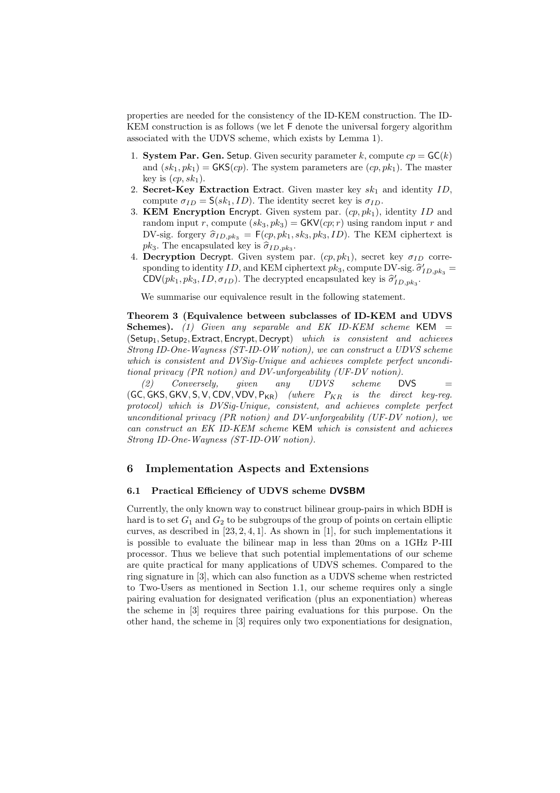properties are needed for the consistency of the ID-KEM construction. The ID-KEM construction is as follows (we let F denote the universal forgery algorithm associated with the UDVS scheme, which exists by Lemma 1).

- 1. System Par. Gen. Setup. Given security parameter k, compute  $cp = \mathsf{GC}(k)$ and  $(sk_1, pk_1) = GKS(cp)$ . The system parameters are  $(cp, pk_1)$ . The master key is  $(cp, sk_1)$ .
- 2. Secret-Key Extraction Extract. Given master key  $sk_1$  and identity ID, compute  $\sigma_{ID} = \mathsf{S}(sk_1, ID)$ . The identity secret key is  $\sigma_{ID}$ .
- 3. KEM Encryption Encrypt. Given system par.  $(c_p, pk_1)$ , identity ID and random input r, compute  $(sk_3, pk_3) = \mathsf{GKV}(cp; r)$  using random input r and DV-sig. forgery  $\hat{\sigma}_{ID,pk_3} = F(sp, pk_1, sk_3, pk_3, ID)$ . The KEM ciphertext is  $pk_3$ . The encapsulated key is  $\widehat{\sigma}_{ID,pk_3}$ .
- 4. Decryption Decrypt. Given system par.  $(ep, pk_1)$ , secret key  $\sigma_{ID}$  corresponding to identity ID, and KEM ciphertext  $pk_3$ , compute DV-sig.  $\hat{\sigma}'_{ID,pk_3}$  = CDV $(pk_1, pk_3, ID, \sigma_{ID})$ . The decrypted encapsulated key is  $\hat{\sigma}'_{ID, pk_3}$ .

We summarise our equivalence result in the following statement.

Theorem 3 (Equivalence between subclasses of ID-KEM and UDVS Schemes). (1) Given any separable and EK ID-KEM scheme KEM  $=$ (Setup<sub>1</sub>, Setup<sub>2</sub>, Extract, Encrypt, Decrypt) which is consistent and achieves Strong ID-One-Wayness (ST-ID-OW notion), we can construct a UDVS scheme which is consistent and DVSig-Unique and achieves complete perfect unconditional privacy (PR notion) and DV-unforgeability (UF-DV notion).

(2) Conversely, given any  $UDVS$  scheme DVS = (GC, GKS, GKV, S, V, CDV, VDV,  $P_{KR}$ ) (where  $P_{KR}$  is the direct key-reg. protocol) which is DVSig-Unique, consistent, and achieves complete perfect unconditional privacy (PR notion) and DV-unforgeability (UF-DV notion), we can construct an EK ID-KEM scheme KEM which is consistent and achieves Strong ID-One-Wayness (ST-ID-OW notion).

## 6 Implementation Aspects and Extensions

#### 6.1 Practical Efficiency of UDVS scheme DVSBM

Currently, the only known way to construct bilinear group-pairs in which BDH is hard is to set  $G_1$  and  $G_2$  to be subgroups of the group of points on certain elliptic curves, as described in  $[23, 2, 4, 1]$ . As shown in  $[1]$ , for such implementations it is possible to evaluate the bilinear map in less than 20ms on a 1GHz P-III processor. Thus we believe that such potential implementations of our scheme are quite practical for many applications of UDVS schemes. Compared to the ring signature in [3], which can also function as a UDVS scheme when restricted to Two-Users as mentioned in Section 1.1, our scheme requires only a single pairing evaluation for designated verification (plus an exponentiation) whereas the scheme in [3] requires three pairing evaluations for this purpose. On the other hand, the scheme in [3] requires only two exponentiations for designation,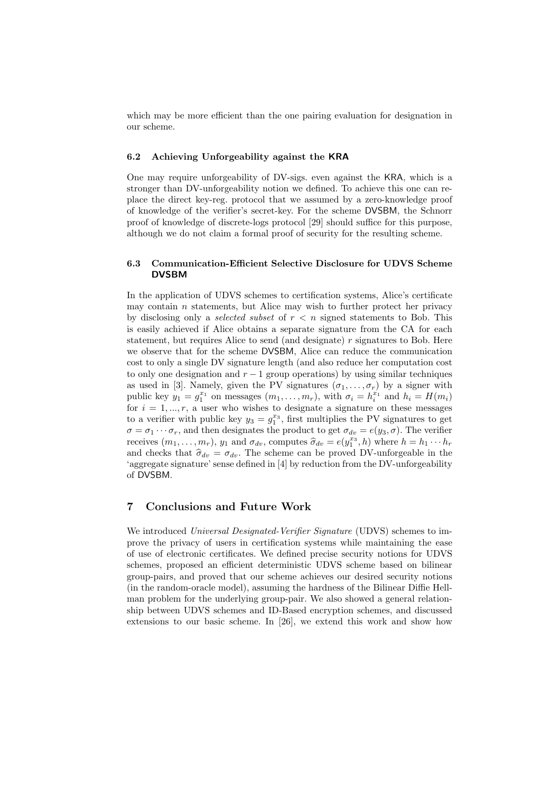which may be more efficient than the one pairing evaluation for designation in our scheme.

#### 6.2 Achieving Unforgeability against the KRA

One may require unforgeability of DV-sigs. even against the KRA, which is a stronger than DV-unforgeability notion we defined. To achieve this one can replace the direct key-reg. protocol that we assumed by a zero-knowledge proof of knowledge of the verifier's secret-key. For the scheme DVSBM, the Schnorr proof of knowledge of discrete-logs protocol [29] should suffice for this purpose, although we do not claim a formal proof of security for the resulting scheme.

### 6.3 Communication-Efficient Selective Disclosure for UDVS Scheme DVSBM

In the application of UDVS schemes to certification systems, Alice's certificate may contain  $n$  statements, but Alice may wish to further protect her privacy by disclosing only a *selected subset* of  $r < n$  signed statements to Bob. This is easily achieved if Alice obtains a separate signature from the CA for each statement, but requires Alice to send (and designate)  $r$  signatures to Bob. Here we observe that for the scheme DVSBM, Alice can reduce the communication cost to only a single DV signature length (and also reduce her computation cost to only one designation and  $r - 1$  group operations) by using similar techniques as used in [3]. Namely, given the PV signatures  $(\sigma_1, \ldots, \sigma_r)$  by a signer with public key  $y_1 = g_1^{x_1}$  on messages  $(m_1, \ldots, m_r)$ , with  $\sigma_i = h_i^{x_1}$  and  $h_i = H(m_i)$ for  $i = 1, ..., r$ , a user who wishes to designate a signature on these messages to a verifier with public key  $y_3 = g_1^{x_3}$ , first multiplies the PV signatures to get  $\sigma = \sigma_1 \cdots \sigma_r$ , and then designates the product to get  $\sigma_{dv} = e(y_3, \sigma)$ . The verifier receives  $(m_1, \ldots, m_r)$ ,  $y_1$  and  $\sigma_{dv}$ , computes  $\hat{\sigma}_{dv} = e(y_1^{x_3}, h)$  where  $h = h_1 \cdots h_r$ and checks that  $\hat{\sigma}_{dv} = \sigma_{dv}$ . The scheme can be proved DV-unforgeable in the 'aggregate signature' sense defined in [4] by reduction from the DV-unforgeability of DVSBM.

## 7 Conclusions and Future Work

We introduced Universal Designated-Verifier Signature (UDVS) schemes to improve the privacy of users in certification systems while maintaining the ease of use of electronic certificates. We defined precise security notions for UDVS schemes, proposed an efficient deterministic UDVS scheme based on bilinear group-pairs, and proved that our scheme achieves our desired security notions (in the random-oracle model), assuming the hardness of the Bilinear Diffie Hellman problem for the underlying group-pair. We also showed a general relationship between UDVS schemes and ID-Based encryption schemes, and discussed extensions to our basic scheme. In [26], we extend this work and show how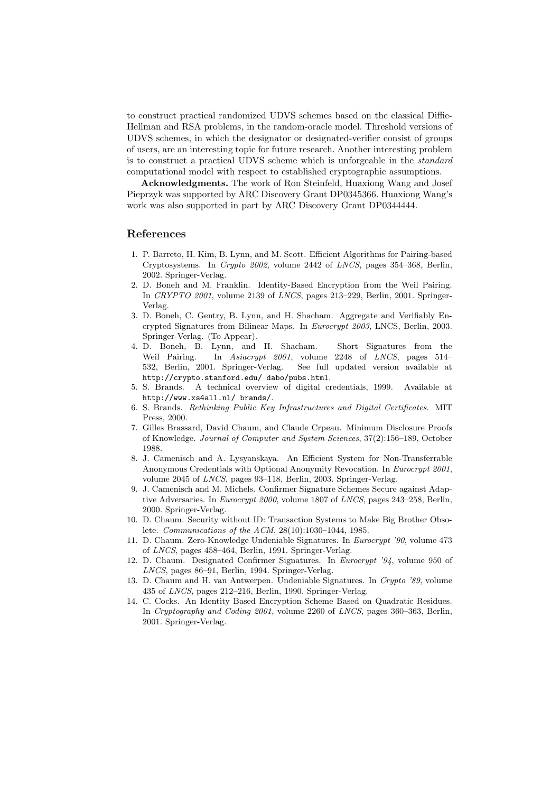to construct practical randomized UDVS schemes based on the classical Diffie-Hellman and RSA problems, in the random-oracle model. Threshold versions of UDVS schemes, in which the designator or designated-verifier consist of groups of users, are an interesting topic for future research. Another interesting problem is to construct a practical UDVS scheme which is unforgeable in the standard computational model with respect to established cryptographic assumptions.

Acknowledgments. The work of Ron Steinfeld, Huaxiong Wang and Josef Pieprzyk was supported by ARC Discovery Grant DP0345366. Huaxiong Wang's work was also supported in part by ARC Discovery Grant DP0344444.

### References

- 1. P. Barreto, H. Kim, B. Lynn, and M. Scott. Efficient Algorithms for Pairing-based Cryptosystems. In Crypto 2002, volume 2442 of LNCS, pages 354–368, Berlin, 2002. Springer-Verlag.
- 2. D. Boneh and M. Franklin. Identity-Based Encryption from the Weil Pairing. In CRYPTO 2001, volume 2139 of LNCS, pages 213–229, Berlin, 2001. Springer-Verlag.
- 3. D. Boneh, C. Gentry, B. Lynn, and H. Shacham. Aggregate and Verifiably Encrypted Signatures from Bilinear Maps. In Eurocrypt 2003, LNCS, Berlin, 2003. Springer-Verlag. (To Appear).
- 4. D. Boneh, B. Lynn, and H. Shacham. Short Signatures from the Weil Pairing. In Asiacrypt 2001, volume 2248 of LNCS, pages 514– 532, Berlin, 2001. Springer-Verlag. See full updated version available at http://crypto.stanford.edu/ dabo/pubs.html.
- 5. S. Brands. A technical overview of digital credentials, 1999. Available at http://www.xs4all.nl/ brands/.
- 6. S. Brands. Rethinking Public Key Infrastructures and Digital Certificates. MIT Press, 2000.
- 7. Gilles Brassard, David Chaum, and Claude Crpeau. Minimum Disclosure Proofs of Knowledge. Journal of Computer and System Sciences, 37(2):156–189, October 1988.
- 8. J. Camenisch and A. Lysyanskaya. An Efficient System for Non-Transferrable Anonymous Credentials with Optional Anonymity Revocation. In Eurocrypt 2001, volume 2045 of LNCS, pages 93–118, Berlin, 2003. Springer-Verlag.
- 9. J. Camenisch and M. Michels. Confirmer Signature Schemes Secure against Adaptive Adversaries. In Eurocrypt 2000, volume 1807 of LNCS, pages 243–258, Berlin, 2000. Springer-Verlag.
- 10. D. Chaum. Security without ID: Transaction Systems to Make Big Brother Obsolete. Communications of the ACM, 28(10):1030–1044, 1985.
- 11. D. Chaum. Zero-Knowledge Undeniable Signatures. In Eurocrypt '90, volume 473 of LNCS, pages 458–464, Berlin, 1991. Springer-Verlag.
- 12. D. Chaum. Designated Confirmer Signatures. In Eurocrypt '94, volume 950 of LNCS, pages 86–91, Berlin, 1994. Springer-Verlag.
- 13. D. Chaum and H. van Antwerpen. Undeniable Signatures. In Crypto '89, volume 435 of LNCS, pages 212–216, Berlin, 1990. Springer-Verlag.
- 14. C. Cocks. An Identity Based Encryption Scheme Based on Quadratic Residues. In Cryptography and Coding 2001, volume 2260 of LNCS, pages 360–363, Berlin, 2001. Springer-Verlag.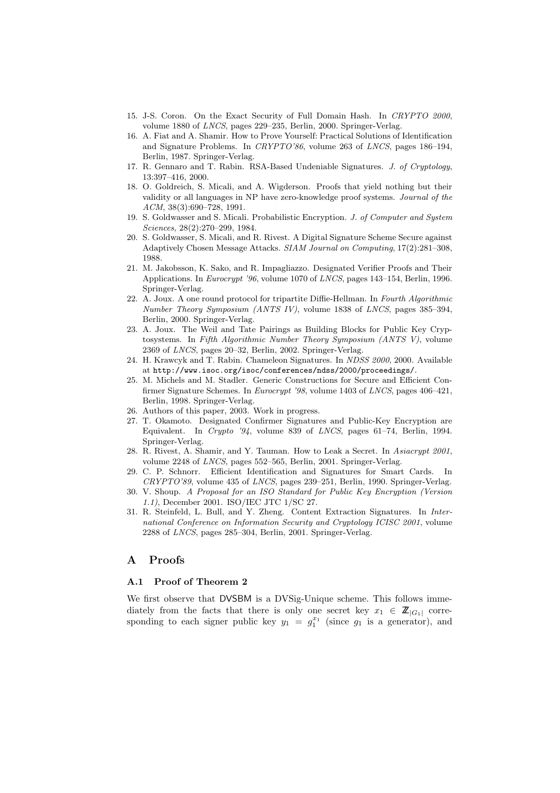- 15. J-S. Coron. On the Exact Security of Full Domain Hash. In CRYPTO 2000, volume 1880 of LNCS, pages 229–235, Berlin, 2000. Springer-Verlag.
- 16. A. Fiat and A. Shamir. How to Prove Yourself: Practical Solutions of Identification and Signature Problems. In CRYPTO'86, volume 263 of LNCS, pages 186–194, Berlin, 1987. Springer-Verlag.
- 17. R. Gennaro and T. Rabin. RSA-Based Undeniable Signatures. J. of Cryptology, 13:397–416, 2000.
- 18. O. Goldreich, S. Micali, and A. Wigderson. Proofs that yield nothing but their validity or all languages in NP have zero-knowledge proof systems. Journal of the  $ACM$ , 38(3):690–728, 1991.
- 19. S. Goldwasser and S. Micali. Probabilistic Encryption. J. of Computer and System Sciences, 28(2):270–299, 1984.
- 20. S. Goldwasser, S. Micali, and R. Rivest. A Digital Signature Scheme Secure against Adaptively Chosen Message Attacks. SIAM Journal on Computing, 17(2):281–308, 1988.
- 21. M. Jakobsson, K. Sako, and R. Impagliazzo. Designated Verifier Proofs and Their Applications. In Eurocrypt '96, volume 1070 of LNCS, pages 143–154, Berlin, 1996. Springer-Verlag.
- 22. A. Joux. A one round protocol for tripartite Diffie-Hellman. In Fourth Algorithmic Number Theory Symposium (ANTS IV), volume 1838 of LNCS, pages 385–394, Berlin, 2000. Springer-Verlag.
- 23. A. Joux. The Weil and Tate Pairings as Building Blocks for Public Key Cryptosystems. In Fifth Algorithmic Number Theory Symposium (ANTS V), volume 2369 of LNCS, pages 20–32, Berlin, 2002. Springer-Verlag.
- 24. H. Krawcyk and T. Rabin. Chameleon Signatures. In NDSS 2000, 2000. Available at http://www.isoc.org/isoc/conferences/ndss/2000/proceedings/.
- 25. M. Michels and M. Stadler. Generic Constructions for Secure and Efficient Confirmer Signature Schemes. In Eurocrypt '98, volume 1403 of LNCS, pages 406–421, Berlin, 1998. Springer-Verlag.
- 26. Authors of this paper, 2003. Work in progress.
- 27. T. Okamoto. Designated Confirmer Signatures and Public-Key Encryption are Equivalent. In Crypto '94, volume 839 of LNCS, pages 61–74, Berlin, 1994. Springer-Verlag.
- 28. R. Rivest, A. Shamir, and Y. Tauman. How to Leak a Secret. In Asiacrypt 2001, volume 2248 of LNCS, pages 552–565, Berlin, 2001. Springer-Verlag.
- 29. C. P. Schnorr. Efficient Identification and Signatures for Smart Cards. In CRYPTO'89, volume 435 of LNCS, pages 239–251, Berlin, 1990. Springer-Verlag.
- 30. V. Shoup. A Proposal for an ISO Standard for Public Key Encryption (Version 1.1), December 2001. ISO/IEC JTC 1/SC 27.
- 31. R. Steinfeld, L. Bull, and Y. Zheng. Content Extraction Signatures. In International Conference on Information Security and Cryptology ICISC 2001, volume 2288 of LNCS, pages 285–304, Berlin, 2001. Springer-Verlag.

## A Proofs

### A.1 Proof of Theorem 2

We first observe that DVSBM is a DVSig-Unique scheme. This follows immediately from the facts that there is only one secret key  $x_1 \in \mathbb{Z}_{|G_1|}$  corresponding to each signer public key  $y_1 = g_1^{x_1}$  (since  $g_1$  is a generator), and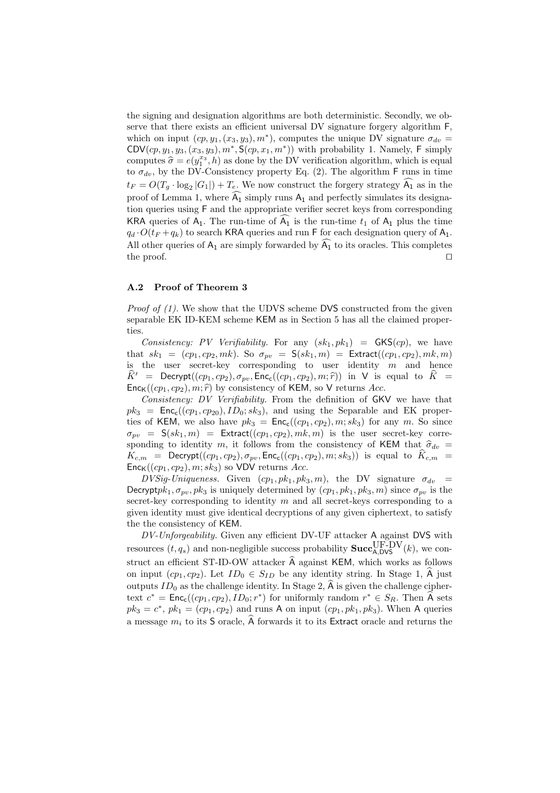the signing and designation algorithms are both deterministic. Secondly, we observe that there exists an efficient universal DV signature forgery algorithm F, which on input  $(ep, y_1, (x_3, y_3), m^*)$ , computes the unique DV signature  $\sigma_{dv} =$ CDV $(cp, y_1, y_3, (x_3, y_3), m^*, S(cp, x_1, m^*))$  with probability 1. Namely, F simply computes  $\hat{\sigma} = e(y_1^{x_3}, h)$  as done by the DV verification algorithm, which is equal to  $\sigma_{dv}$ , by the DV-Consistency property Eq. (2). The algorithm F runs in time  $t_F = O(T_g \cdot \log_2 |G_1|) + T_e$ . We now construct the forgery strategy  $\widehat{A_1}$  as in the proof of Lemma 1, where  $\overline{A_1}$  simply runs  $A_1$  and perfectly simulates its designation queries using F and the appropriate verifier secret keys from corresponding KRA queries of  $A_1$ . The run-time of  $A_1$  is the run-time  $t_1$  of  $A_1$  plus the time  $q_d \cdot O(t_F + q_k)$  to search KRA queries and run F for each designation query of A<sub>1</sub>. All other queries of  $A_1$  are simply forwarded by  $\widehat{A_1}$  to its oracles. This completes the proof.  $\Box$ 

#### A.2 Proof of Theorem 3

*Proof of (1)*. We show that the UDVS scheme DVS constructed from the given separable EK ID-KEM scheme KEM as in Section 5 has all the claimed properties.

Consistency: PV Verifiability. For any  $(sk_1, pk_1$  =  $GKS(cp)$ , we have that  $sk_1 = (cp_1, cp_2, mk)$ . So  $\sigma_{pv} = S(sk_1, m) = Extraction(cp_1, cp_2), mk, m)$ is the user secret-key corresponding to user identity  $m$  and hence  $\widehat{K}^{\prime}$  = Decrypt $((cp_1, cp_2), \sigma_{pv}, \text{Enc}_{c}((cp_1, cp_2), m; \widehat{r}))$  in V is equal to  $\widehat{K}$  =  $Enc_{K}((cp_{1}, cp_{2}), m; \hat{r})$  by consistency of KEM, so V returns Acc.

Consistency: DV Verifiability. From the definition of GKV we have that  $pk_3$  =  $Enc_c((cp_1, cp_{20}), ID_0; sk_3)$ , and using the Separable and EK properties of KEM, we also have  $pk_3 = \text{Enc}_{c}((cp_1, cp_2), m; sk_3)$  for any m. So since  $\sigma_{pv} = S(sk_1, m) =$  Extract $((cp_1, cp_2), mk, m)$  is the user secret-key corresponding to identity m, it follows from the consistency of KEM that  $\hat{\sigma}_{dv}$  =  $K_{c,m}$  = Decrypt $((cp_1, cp_2), \sigma_{pv}, \text{Enc}_{c}((cp_1, cp_2), m; sk_3))$  is equal to  $K_{c,m}$  =  $Enc_K((cp_1, cp_2), m; sk_3)$  so VDV returns Acc.

DVSig-Uniqueness. Given  $(cp_1, pk_1, pk_3, m)$ , the DV signature  $\sigma_{dv}$  = Decrypt $pk_1, \sigma_{uv}, pk_3$  is uniquely determined by  $(cp_1, pk_1, pk_3, m)$  since  $\sigma_{uv}$  is the secret-key corresponding to identity  $m$  and all secret-keys corresponding to a given identity must give identical decryptions of any given ciphertext, to satisfy the the consistency of KEM.

DV-Unforgeability. Given any efficient DV-UF attacker A against DVS with resources  $(t, q_s)$  and non-negligible success probability  $\textbf{Succ}_{A, DVS}^{\text{UF-DV}}(k)$ , we construct an efficient ST-ID-OW attacker  $\hat{A}$  against KEM, which works as follows on input  $(ep_1, cp_2)$ . Let  $ID_0 \in S_{ID}$  be any identity string. In Stage 1,  $\hat{A}$  just outputs  $ID_0$  as the challenge identity. In Stage 2, A is given the challenge ciphertext  $c^* = \text{Enc}_{c}((cp_1, cp_2), ID_0; r^*)$  for uniformly random  $r^* \in S_R$ . Then  $\widehat{A}$  sets  $pk_3 = c^*$ ,  $pk_1 = (cp_1, cp_2)$  and runs A on input  $(cp_1, pk_1, pk_3)$ . When A queries a message  $m_i$  to its S oracle,  $\hat{A}$  forwards it to its Extract oracle and returns the